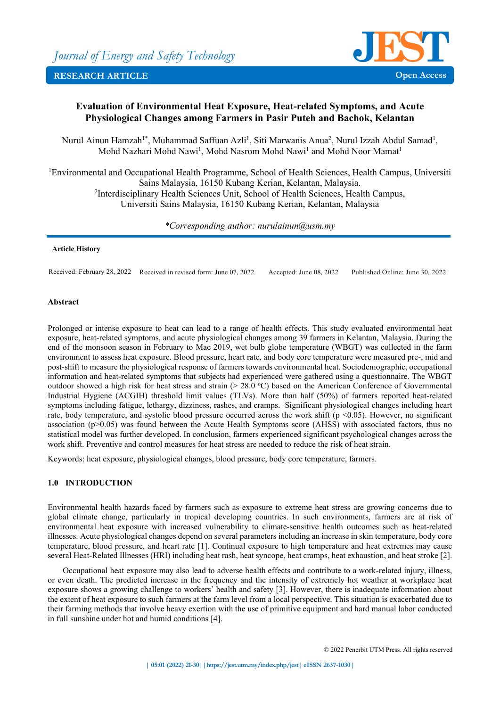

# **Evaluation of Environmental Heat Exposure, Heat-related Symptoms, and Acute Physiological Changes among Farmers in Pasir Puteh and Bachok, Kelantan**

Nurul Ainun Hamzah<sup>1\*</sup>, Muhammad Saffuan Azli<sup>1</sup>, Siti Marwanis Anua<sup>2</sup>, Nurul Izzah Abdul Samad<sup>1</sup>, Mohd Nazhari Mohd Nawi<sup>1</sup>, Mohd Nasrom Mohd Nawi<sup>1</sup> and Mohd Noor Mamat<sup>1</sup>

<sup>1</sup>Environmental and Occupational Health Programme, School of Health Sciences, Health Campus, Universiti Sains Malaysia, 16150 Kubang Kerian, Kelantan, Malaysia. <sup>2</sup>Interdisciplinary Health Sciences Unit, School of Health Sciences, Health Campus, Universiti Sains Malaysia, 16150 Kubang Kerian, Kelantan, Malaysia

*\*Corresponding author: nurulainun@usm.my*

#### **Article History**

Received: February 28, 2022 Received in revised form: June 07, 2022 Accepted: June 08, 2022 Published Online: June 30, 2022

### **Abstract**

Prolonged or intense exposure to heat can lead to a range of health effects. This study evaluated environmental heat exposure, heat-related symptoms, and acute physiological changes among 39 farmers in Kelantan, Malaysia. During the end of the monsoon season in February to Mac 2019, wet bulb globe temperature (WBGT) was collected in the farm environment to assess heat exposure. Blood pressure, heart rate, and body core temperature were measured pre-, mid and post-shift to measure the physiological response of farmers towards environmental heat. Sociodemographic, occupational information and heat-related symptoms that subjects had experienced were gathered using a questionnaire. The WBGT outdoor showed a high risk for heat stress and strain (> 28.0 °C) based on the American Conference of Governmental Industrial Hygiene (ACGIH) threshold limit values (TLVs). More than half (50%) of farmers reported heat-related symptoms including fatigue, lethargy, dizziness, rashes, and cramps. Significant physiological changes including heart rate, body temperature, and systolic blood pressure occurred across the work shift ( $p \le 0.05$ ). However, no significant association (p>0.05) was found between the Acute Health Symptoms score (AHSS) with associated factors, thus no statistical model was further developed. In conclusion, farmers experienced significant psychological changes across the work shift. Preventive and control measures for heat stress are needed to reduce the risk of heat strain.

Keywords: heat exposure, physiological changes, blood pressure, body core temperature, farmers.

### **1.0 INTRODUCTION**

Environmental health hazards faced by farmers such as exposure to extreme heat stress are growing concerns due to global climate change, particularly in tropical developing countries. In such environments, farmers are at risk of environmental heat exposure with increased vulnerability to climate-sensitive health outcomes such as heat-related illnesses. Acute physiological changes depend on several parameters including an increase in skin temperature, body core temperature, blood pressure, and heart rate [1]. Continual exposure to high temperature and heat extremes may cause several Heat-Related Illnesses (HRI) including heat rash, heat syncope, heat cramps, heat exhaustion, and heat stroke [2].

Occupational heat exposure may also lead to adverse health effects and contribute to a work-related injury, illness, or even death. The predicted increase in the frequency and the intensity of extremely hot weather at workplace heat exposure shows a growing challenge to workers' health and safety [3]. However, there is inadequate information about the extent of heat exposure to such farmers at the farm level from a local perspective. This situation is exacerbated due to their farming methods that involve heavy exertion with the use of primitive equipment and hard manual labor conducted in full sunshine under hot and humid conditions [4].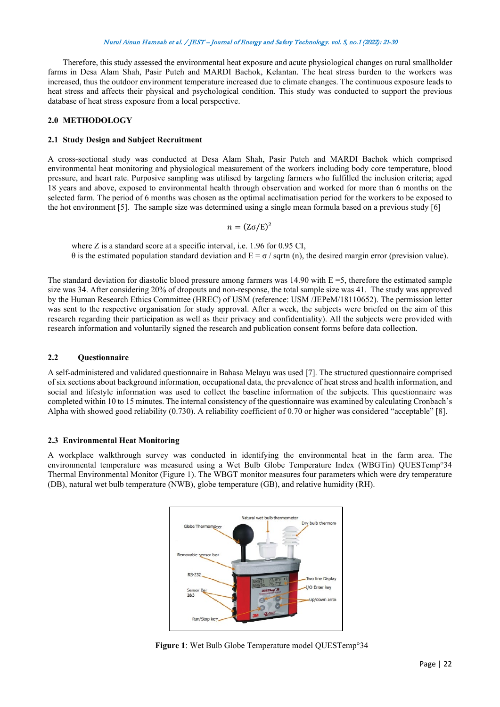Therefore, this study assessed the environmental heat exposure and acute physiological changes on rural smallholder farms in Desa Alam Shah, Pasir Puteh and MARDI Bachok, Kelantan. The heat stress burden to the workers was increased, thus the outdoor environment temperature increased due to climate changes. The continuous exposure leads to heat stress and affects their physical and psychological condition. This study was conducted to support the previous database of heat stress exposure from a local perspective.

#### **2.0 METHODOLOGY**

#### **2.1 Study Design and Subject Recruitment**

A cross-sectional study was conducted at Desa Alam Shah, Pasir Puteh and MARDI Bachok which comprised environmental heat monitoring and physiological measurement of the workers including body core temperature, blood pressure, and heart rate. Purposive sampling was utilised by targeting farmers who fulfilled the inclusion criteria; aged 18 years and above, exposed to environmental health through observation and worked for more than 6 months on the selected farm. The period of 6 months was chosen as the optimal acclimatisation period for the workers to be exposed to the hot environment [5]. The sample size was determined using a single mean formula based on a previous study [6]

 $n = (Z\sigma/E)^2$ 

where Z is a standard score at a specific interval, i.e. 1.96 for 0.95 CI, θ is the estimated population standard deviation and E = σ / sqrtn (n), the desired margin error (prevision value).

The standard deviation for diastolic blood pressure among farmers was 14.90 with  $E = 5$ , therefore the estimated sample size was 34. After considering 20% of dropouts and non-response, the total sample size was 41. The study was approved by the Human Research Ethics Committee (HREC) of USM (reference: USM /JEPeM/18110652). The permission letter was sent to the respective organisation for study approval. After a week, the subjects were briefed on the aim of this research regarding their participation as well as their privacy and confidentiality). All the subjects were provided with research information and voluntarily signed the research and publication consent forms before data collection.

#### **2.2 Questionnaire**

A self-administered and validated questionnaire in Bahasa Melayu was used [7]. The structured questionnaire comprised of six sections about background information, occupational data, the prevalence of heat stress and health information, and social and lifestyle information was used to collect the baseline information of the subjects. This questionnaire was completed within 10 to 15 minutes. The internal consistency of the questionnaire was examined by calculating Cronbach's Alpha with showed good reliability (0.730). A reliability coefficient of 0.70 or higher was considered "acceptable" [8].

#### **2.3 Environmental Heat Monitoring**

A workplace walkthrough survey was conducted in identifying the environmental heat in the farm area. The environmental temperature was measured using a Wet Bulb Globe Temperature Index (WBGTin) QUESTemp°34 Thermal Environmental Monitor (Figure 1). The WBGT monitor measures four parameters which were dry temperature (DB), natural wet bulb temperature (NWB), globe temperature (GB), and relative humidity (RH).



**Figure 1**: Wet Bulb Globe Temperature model QUESTemp°34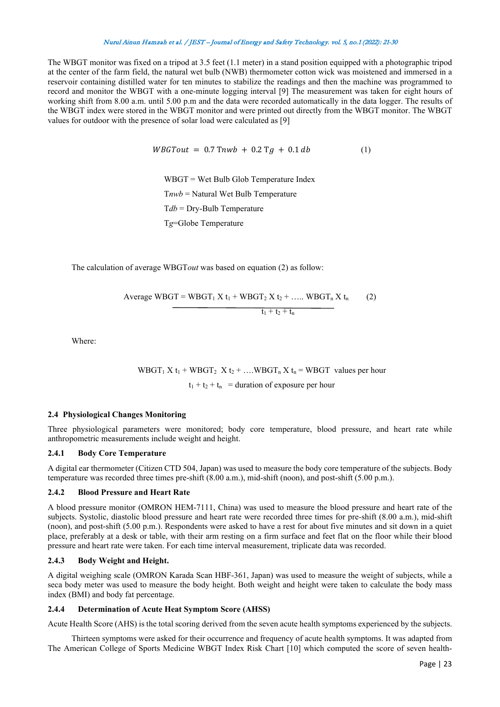The WBGT monitor was fixed on a tripod at 3.5 feet (1.1 meter) in a stand position equipped with a photographic tripod at the center of the farm field, the natural wet bulb (NWB) thermometer cotton wick was moistened and immersed in a reservoir containing distilled water for ten minutes to stabilize the readings and then the machine was programmed to record and monitor the WBGT with a one-minute logging interval [9] The measurement was taken for eight hours of working shift from 8.00 a.m. until 5.00 p.m and the data were recorded automatically in the data logger. The results of the WBGT index were stored in the WBGT monitor and were printed out directly from the WBGT monitor. The WBGT values for outdoor with the presence of solar load were calculated as [9]

$$
WBGTout = 0.7\,\text{T}nwb + 0.2\,\text{T}g + 0.1\,db \tag{1}
$$

 WBGT = Wet Bulb Glob Temperature Index T*nwb* = Natural Wet Bulb Temperature T*db* = Dry-Bulb Temperature T*g*=Globe Temperature

The calculation of average WBGT*out* was based on equation (2) as follow:

Average WBGT = WBGT<sub>1</sub> X t<sub>1</sub> + WBGT<sub>2</sub> X t<sub>2</sub> + ..... WBGT<sub>n</sub> X t<sub>n</sub> (2)  

$$
\underbrace{t_1 + t_2 + t_n}
$$

Where:

 $WBGT_1 X t_1 + WBGT_2 X t_2 + \dots WBGT_n X t_n = WBGT$  values per hour  $t_1 + t_2 + t_n$  = duration of exposure per hour

#### **2.4 Physiological Changes Monitoring**

Three physiological parameters were monitored; body core temperature, blood pressure, and heart rate while anthropometric measurements include weight and height.

#### **2.4.1 Body Core Temperature**

A digital ear thermometer (Citizen CTD 504, Japan) was used to measure the body core temperature of the subjects. Body temperature was recorded three times pre-shift (8.00 a.m.), mid-shift (noon), and post-shift (5.00 p.m.).

### **2.4.2 Blood Pressure and Heart Rate**

A blood pressure monitor (OMRON HEM-7111, China) was used to measure the blood pressure and heart rate of the subjects. Systolic, diastolic blood pressure and heart rate were recorded three times for pre-shift (8.00 a.m.), mid-shift (noon), and post-shift (5.00 p.m.). Respondents were asked to have a rest for about five minutes and sit down in a quiet place, preferably at a desk or table, with their arm resting on a firm surface and feet flat on the floor while their blood pressure and heart rate were taken. For each time interval measurement, triplicate data was recorded.

### **2.4.3 Body Weight and Height.**

A digital weighing scale (OMRON Karada Scan HBF-361, Japan) was used to measure the weight of subjects, while a seca body meter was used to measure the body height. Both weight and height were taken to calculate the body mass index (BMI) and body fat percentage.

### **2.4.4 Determination of Acute Heat Symptom Score (AHSS)**

Acute Health Score (AHS) is the total scoring derived from the seven acute health symptoms experienced by the subjects.

Thirteen symptoms were asked for their occurrence and frequency of acute health symptoms. It was adapted from The American College of Sports Medicine WBGT Index Risk Chart [10] which computed the score of seven health-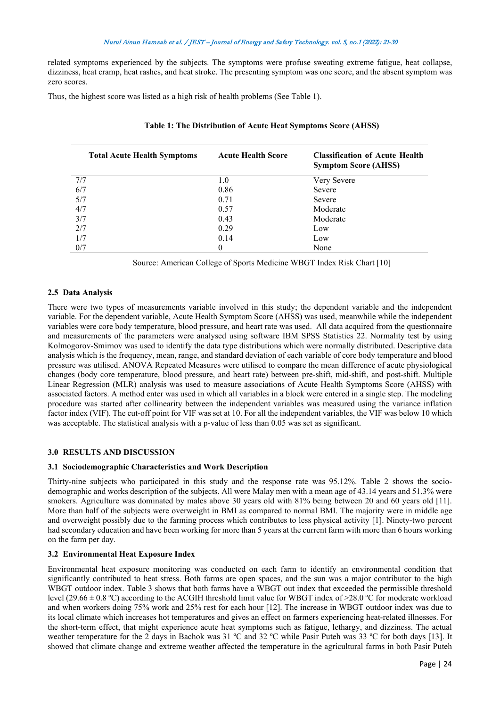related symptoms experienced by the subjects. The symptoms were profuse sweating extreme fatigue, heat collapse, dizziness, heat cramp, heat rashes, and heat stroke. The presenting symptom was one score, and the absent symptom was zero scores.

Thus, the highest score was listed as a high risk of health problems (See Table 1).

| <b>Total Acute Health Symptoms</b> | <b>Acute Health Score</b> | <b>Classification of Acute Health</b><br><b>Symptom Score (AHSS)</b> |  |
|------------------------------------|---------------------------|----------------------------------------------------------------------|--|
| 7/7                                | 1.0                       | Very Severe                                                          |  |
| 6/7                                | 0.86                      | Severe                                                               |  |
| 5/7                                | 0.71                      | Severe                                                               |  |
| 4/7                                | 0.57                      | Moderate                                                             |  |
| 3/7                                | 0.43                      | Moderate                                                             |  |
| 2/7                                | 0.29                      | Low                                                                  |  |
| 1/7                                | 0.14                      | Low                                                                  |  |
| 0/7                                | 0                         | None                                                                 |  |

|  |  |  |  | Table 1: The Distribution of Acute Heat Symptoms Score (AHSS) |  |  |
|--|--|--|--|---------------------------------------------------------------|--|--|
|--|--|--|--|---------------------------------------------------------------|--|--|

Source: American College of Sports Medicine WBGT Index Risk Chart [10]

## **2.5 Data Analysis**

There were two types of measurements variable involved in this study; the dependent variable and the independent variable. For the dependent variable, Acute Health Symptom Score (AHSS) was used, meanwhile while the independent variables were core body temperature, blood pressure, and heart rate was used. All data acquired from the questionnaire and measurements of the parameters were analysed using software IBM SPSS Statistics 22. Normality test by using Kolmogorov-Smirnov was used to identify the data type distributions which were normally distributed. Descriptive data analysis which is the frequency, mean, range, and standard deviation of each variable of core body temperature and blood pressure was utilised. ANOVA Repeated Measures were utilised to compare the mean difference of acute physiological changes (body core temperature, blood pressure, and heart rate) between pre-shift, mid-shift, and post-shift. Multiple Linear Regression (MLR) analysis was used to measure associations of Acute Health Symptoms Score (AHSS) with associated factors. A method enter was used in which all variables in a block were entered in a single step. The modeling procedure was started after collinearity between the independent variables was measured using the variance inflation factor index (VIF). The cut-off point for VIF was set at 10. For all the independent variables, the VIF was below 10 which was acceptable. The statistical analysis with a p-value of less than 0.05 was set as significant.

### **3.0 RESULTS AND DISCUSSION**

#### **3.1 Sociodemographic Characteristics and Work Description**

Thirty-nine subjects who participated in this study and the response rate was 95.12%. Table 2 shows the sociodemographic and works description of the subjects. All were Malay men with a mean age of 43.14 years and 51.3% were smokers. Agriculture was dominated by males above 30 years old with 81% being between 20 and 60 years old [11]. More than half of the subjects were overweight in BMI as compared to normal BMI. The majority were in middle age and overweight possibly due to the farming process which contributes to less physical activity [1]. Ninety-two percent had secondary education and have been working for more than 5 years at the current farm with more than 6 hours working on the farm per day.

### **3.2 Environmental Heat Exposure Index**

Environmental heat exposure monitoring was conducted on each farm to identify an environmental condition that significantly contributed to heat stress. Both farms are open spaces, and the sun was a major contributor to the high WBGT outdoor index. Table 3 shows that both farms have a WBGT out index that exceeded the permissible threshold level (29.66  $\pm$  0.8 °C) according to the ACGIH threshold limit value for WBGT index of >28.0 °C for moderate workload and when workers doing 75% work and 25% rest for each hour [12]. The increase in WBGT outdoor index was due to its local climate which increases hot temperatures and gives an effect on farmers experiencing heat-related illnesses. For the short-term effect, that might experience acute heat symptoms such as fatigue, lethargy, and dizziness. The actual weather temperature for the 2 days in Bachok was 31 °C and 32 °C while Pasir Puteh was 33 °C for both days [13]. It showed that climate change and extreme weather affected the temperature in the agricultural farms in both Pasir Puteh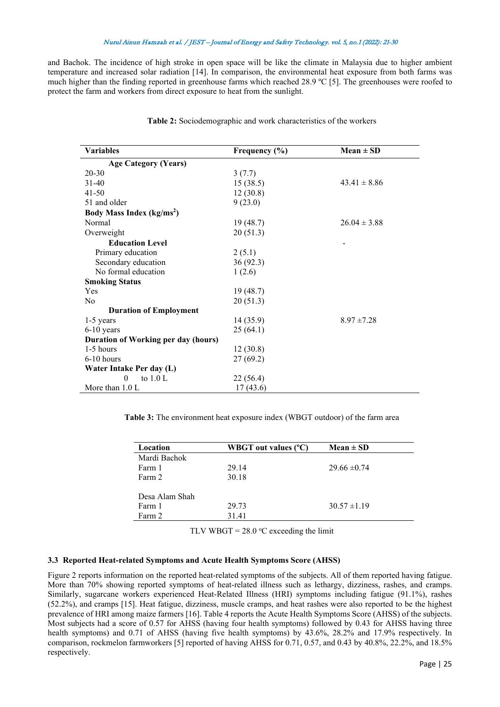and Bachok. The incidence of high stroke in open space will be like the climate in Malaysia due to higher ambient temperature and increased solar radiation [14]. In comparison, the environmental heat exposure from both farms was much higher than the finding reported in greenhouse farms which reached 28.9 ºC [5]. The greenhouses were roofed to protect the farm and workers from direct exposure to heat from the sunlight.

| <b>Variables</b>                           | Frequency $(\% )$ | $Mean \pm SD$    |
|--------------------------------------------|-------------------|------------------|
| <b>Age Category (Years)</b>                |                   |                  |
| $20 - 30$                                  | 3(7.7)            |                  |
| $31 - 40$                                  | 15(38.5)          | $43.41 \pm 8.86$ |
| $41 - 50$                                  | 12(30.8)          |                  |
| 51 and older                               | 9(23.0)           |                  |
| Body Mass Index (kg/ms <sup>2</sup> )      |                   |                  |
| Normal                                     | 19(48.7)          | $26.04 \pm 3.88$ |
| Overweight                                 | 20(51.3)          |                  |
| <b>Education Level</b>                     |                   |                  |
| Primary education                          | 2(5.1)            |                  |
| Secondary education                        | 36(92.3)          |                  |
| No formal education                        | 1(2.6)            |                  |
| <b>Smoking Status</b>                      |                   |                  |
| Yes                                        | 19(48.7)          |                  |
| N <sub>0</sub>                             | 20(51.3)          |                  |
| <b>Duration of Employment</b>              |                   |                  |
| 1-5 years                                  | 14 (35.9)         | $8.97 \pm 7.28$  |
| $6-10$ years                               | 25(64.1)          |                  |
| <b>Duration of Working per day (hours)</b> |                   |                  |
| 1-5 hours                                  | 12(30.8)          |                  |
| $6-10$ hours                               | 27(69.2)          |                  |
| Water Intake Per day (L)                   |                   |                  |
| $\theta$<br>to $1.0 L$                     | 22(56.4)          |                  |
| More than $1.0 L$                          | 17(43.6)          |                  |

**Table 2:** Sociodemographic and work characteristics of the workers

**Table 3:** The environment heat exposure index (WBGT outdoor) of the farm area

| Location       | <b>WBGT</b> out values (°C) | $Mean \pm SD$    |
|----------------|-----------------------------|------------------|
| Mardi Bachok   |                             |                  |
| Farm 1         | 29.14                       | $29.66 \pm 0.74$ |
| Farm 2         | 30.18                       |                  |
|                |                             |                  |
| Desa Alam Shah |                             |                  |
| Farm 1         | 29.73                       | $30.57 \pm 1.19$ |
| Farm 2         | 31.41                       |                  |
|                |                             |                  |

TLV WBGT =  $28.0$  °C exceeding the limit

#### **3.3 Reported Heat-related Symptoms and Acute Health Symptoms Score (AHSS)**

Figure 2 reports information on the reported heat-related symptoms of the subjects. All of them reported having fatigue. More than 70% showing reported symptoms of heat-related illness such as lethargy, dizziness, rashes, and cramps. Similarly, sugarcane workers experienced Heat-Related Illness (HRI) symptoms including fatigue (91.1%), rashes (52.2%), and cramps [15]. Heat fatigue, dizziness, muscle cramps, and heat rashes were also reported to be the highest prevalence of HRI among maize farmers [16]. Table 4 reports the Acute Health Symptoms Score (AHSS) of the subjects. Most subjects had a score of 0.57 for AHSS (having four health symptoms) followed by 0.43 for AHSS having three health symptoms) and 0.71 of AHSS (having five health symptoms) by 43.6%, 28.2% and 17.9% respectively. In comparison, rockmelon farmworkers [5] reported of having AHSS for 0.71, 0.57, and 0.43 by 40.8%, 22.2%, and 18.5% respectively.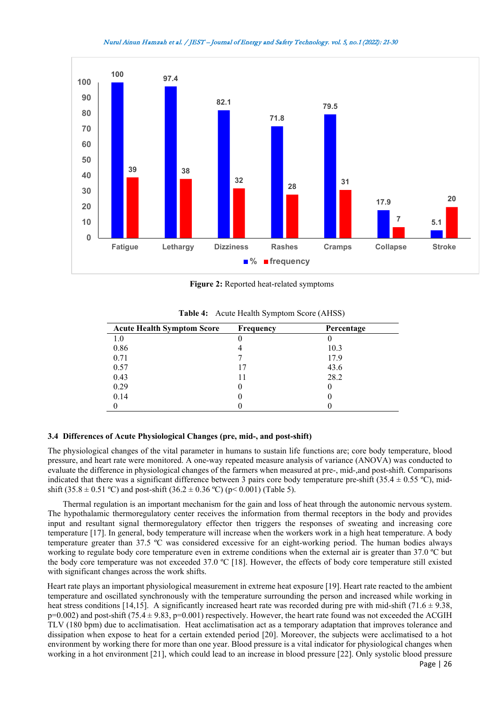

**Figure 2:** Reported heat-related symptoms

| <b>Acute Health Symptom Score</b> | <b>Frequency</b> | Percentage |
|-----------------------------------|------------------|------------|
| 1.0                               |                  |            |
| 0.86                              |                  | 10.3       |
| 0.71                              |                  | 17.9       |
| 0.57                              | 17               | 43.6       |
| 0.43                              |                  | 28.2       |
| 0.29                              |                  |            |
| 0.14                              |                  |            |
|                                   |                  |            |

**Table 4:** Acute Health Symptom Score (AHSS)

## **3.4 Differences of Acute Physiological Changes (pre, mid-, and post-shift)**

The physiological changes of the vital parameter in humans to sustain life functions are; core body temperature, blood pressure, and heart rate were monitored. A one-way repeated measure analysis of variance (ANOVA) was conducted to evaluate the difference in physiological changes of the farmers when measured at pre-, mid-,and post-shift. Comparisons indicated that there was a significant difference between 3 pairs core body temperature pre-shift (35.4  $\pm$  0.55 °C), midshift (35.8  $\pm$  0.51 °C) and post-shift (36.2  $\pm$  0.36 °C) (p< 0.001) (Table 5).

Thermal regulation is an important mechanism for the gain and loss of heat through the autonomic nervous system. The hypothalamic thermoregulatory center receives the information from thermal receptors in the body and provides input and resultant signal thermoregulatory effector then triggers the responses of sweating and increasing core temperature [17]. In general, body temperature will increase when the workers work in a high heat temperature. A body temperature greater than 37.5 ºC was considered excessive for an eight-working period. The human bodies always working to regulate body core temperature even in extreme conditions when the external air is greater than 37.0 °C but the body core temperature was not exceeded 37.0 ºC [18]. However, the effects of body core temperature still existed with significant changes across the work shifts.

Heart rate plays an important physiological measurement in extreme heat exposure [19]. Heart rate reacted to the ambient temperature and oscillated synchronously with the temperature surrounding the person and increased while working in heat stress conditions [14,15]. A significantly increased heart rate was recorded during pre with mid-shift (71.6  $\pm$  9.38,  $p=0.002$ ) and post-shift (75.4  $\pm$  9.83, p=0.001) respectively. However, the heart rate found was not exceeded the ACGIH TLV (180 bpm) due to acclimatisation. Heat acclimatisation act as a temporary adaptation that improves tolerance and dissipation when expose to heat for a certain extended period [20]. Moreover, the subjects were acclimatised to a hot environment by working there for more than one year. Blood pressure is a vital indicator for physiological changes when working in a hot environment [21], which could lead to an increase in blood pressure [22]. Only systolic blood pressure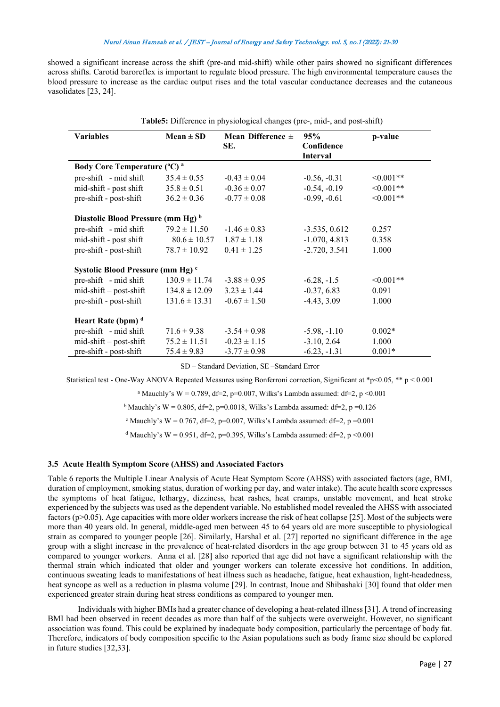showed a significant increase across the shift (pre-and mid-shift) while other pairs showed no significant differences across shifts. Carotid baroreflex is important to regulate blood pressure. The high environmental temperature causes the blood pressure to increase as the cardiac output rises and the total vascular conductance decreases and the cutaneous vasolidates [23, 24].

| <b>Table5:</b> Difference in physiological changes (pre-, mid-, and post-shift) |                   |                              |                                      |            |  |
|---------------------------------------------------------------------------------|-------------------|------------------------------|--------------------------------------|------------|--|
| <b>Variables</b>                                                                | $Mean \pm SD$     | Mean Difference $\pm$<br>SE. | 95%<br>Confidence<br><b>Interval</b> | p-value    |  |
| Body Core Temperature (°C) <sup>a</sup>                                         |                   |                              |                                      |            |  |
| pre-shift - mid shift                                                           | $35.4 \pm 0.55$   | $-0.43 \pm 0.04$             | $-0.56, -0.31$                       | $<0.001**$ |  |
| mid-shift - post shift                                                          | $35.8 \pm 0.51$   | $-0.36 \pm 0.07$             | $-0.54, -0.19$                       | $<0.001**$ |  |
| pre-shift - post-shift                                                          | $36.2 \pm 0.36$   | $-0.77 \pm 0.08$             | $-0.99, -0.61$                       | $<0.001**$ |  |
| Diastolic Blood Pressure (mm Hg) <sup>b</sup>                                   |                   |                              |                                      |            |  |
| pre-shift - mid shift                                                           | $79.2 \pm 11.50$  | $-1.46 \pm 0.83$             | $-3.535, 0.612$                      | 0.257      |  |
| mid-shift - post shift                                                          | $80.6 \pm 10.57$  | $1.87 \pm 1.18$              | $-1.070, 4.813$                      | 0.358      |  |
| pre-shift - post-shift                                                          | $78.7 \pm 10.92$  | $0.41 \pm 1.25$              | $-2.720, 3.541$                      | 1.000      |  |
| Systolic Blood Pressure (mm Hg) <sup>c</sup>                                    |                   |                              |                                      |            |  |
| pre-shift - mid shift                                                           | $130.9 \pm 11.74$ | $-3.88 \pm 0.95$             | $-6.28, -1.5$                        | $<0.001**$ |  |
| $mid-shift - post-shift$                                                        | $134.8 \pm 12.09$ | $3.23 \pm 1.44$              | $-0.37, 6.83$                        | 0.091      |  |
| pre-shift - post-shift                                                          | $131.6 \pm 13.31$ | $-0.67 \pm 1.50$             | $-4.43, 3.09$                        | 1.000      |  |
| Heart Rate (bpm) <sup>d</sup>                                                   |                   |                              |                                      |            |  |
| pre-shift - mid shift                                                           | $71.6 \pm 9.38$   | $-3.54 \pm 0.98$             | $-5.98, -1.10$                       | $0.002*$   |  |
| mid-shift - post-shift                                                          | $75.2 \pm 11.51$  | $-0.23 \pm 1.15$             | $-3.10, 2.64$                        | 1.000      |  |
| pre-shift - post-shift                                                          | $75.4 \pm 9.83$   | $-3.77 \pm 0.98$             | $-6.23, -1.31$                       | $0.001*$   |  |

SD – Standard Deviation, SE –Standard Error

Statistical test - One-Way ANOVA Repeated Measures using Bonferroni correction, Significant at \*p<0.05, \*\* p < 0.001

<sup>a</sup> Mauchly's W = 0.789, df=2, p=0.007, Wilks's Lambda assumed: df=2, p <0.001

<sup>b</sup> Mauchly's W = 0.805, df=2, p=0.0018, Wilks's Lambda assumed: df=2, p=0.126

 $c$  Mauchly's W = 0.767, df=2, p=0.007, Wilks's Lambda assumed: df=2, p=0.001

<sup>d</sup> Mauchly's W = 0.951, df=2, p=0.395, Wilks's Lambda assumed: df=2, p <0.001

## **3.5 Acute Health Symptom Score (AHSS) and Associated Factors**

Table 6 reports the Multiple Linear Analysis of Acute Heat Symptom Score (AHSS) with associated factors (age, BMI, duration of employment, smoking status, duration of working per day, and water intake). The acute health score expresses the symptoms of heat fatigue, lethargy, dizziness, heat rashes, heat cramps, unstable movement, and heat stroke experienced by the subjects was used as the dependent variable. No established model revealed the AHSS with associated factors (p>0.05). Age capacities with more older workers increase the risk of heat collapse [25]. Most of the subjects were more than 40 years old. In general, middle-aged men between 45 to 64 years old are more susceptible to physiological strain as compared to younger people [26]. Similarly, Harshal et al. [27] reported no significant difference in the age group with a slight increase in the prevalence of heat-related disorders in the age group between 31 to 45 years old as compared to younger workers. Anna et al. [28] also reported that age did not have a significant relationship with the thermal strain which indicated that older and younger workers can tolerate excessive hot conditions. In addition, continuous sweating leads to manifestations of heat illness such as headache, fatigue, heat exhaustion, light-headedness, heat syncope as well as a reduction in plasma volume [29]. In contrast, Inoue and Shibashaki [30] found that older men experienced greater strain during heat stress conditions as compared to younger men.

Individuals with higher BMIs had a greater chance of developing a heat-related illness [31]. A trend of increasing BMI had been observed in recent decades as more than half of the subjects were overweight. However, no significant association was found. This could be explained by inadequate body composition, particularly the percentage of body fat. Therefore, indicators of body composition specific to the Asian populations such as body frame size should be explored in future studies [32,33].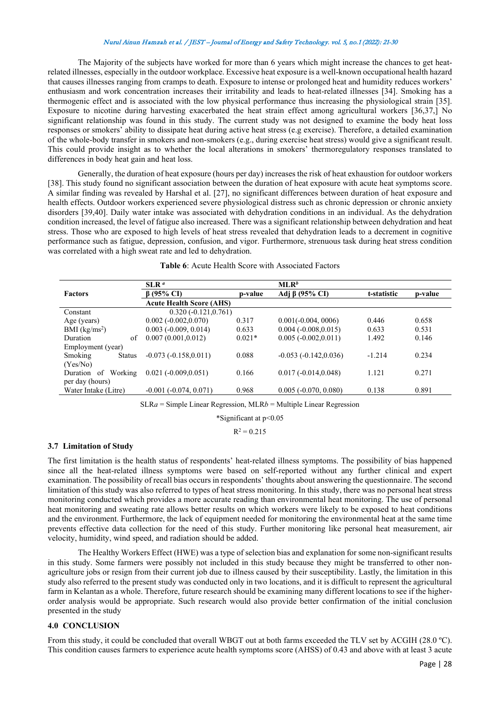The Majority of the subjects have worked for more than 6 years which might increase the chances to get heatrelated illnesses, especially in the outdoor workplace. Excessive heat exposure is a well-known occupational health hazard that causes illnesses ranging from cramps to death. Exposure to intense or prolonged heat and humidity reduces workers' enthusiasm and work concentration increases their irritability and leads to heat-related illnesses [34]. Smoking has a thermogenic effect and is associated with the low physical performance thus increasing the physiological strain [35]. Exposure to nicotine during harvesting exacerbated the heat strain effect among agricultural workers [36,37,] No significant relationship was found in this study. The current study was not designed to examine the body heat loss responses or smokers' ability to dissipate heat during active heat stress (e.g exercise). Therefore, a detailed examination of the whole-body transfer in smokers and non-smokers (e.g., during exercise heat stress) would give a significant result. This could provide insight as to whether the local alterations in smokers' thermoregulatory responses translated to differences in body heat gain and heat loss.

Generally, the duration of heat exposure (hours per day) increases the risk of heat exhaustion for outdoor workers [38]. This study found no significant association between the duration of heat exposure with acute heat symptoms score. A similar finding was revealed by Harshal et al. [27], no significant differences between duration of heat exposure and health effects. Outdoor workers experienced severe physiological distress such as chronic depression or chronic anxiety disorders [39,40]. Daily water intake was associated with dehydration conditions in an individual. As the dehydration condition increased, the level of fatigue also increased. There was a significant relationship between dehydration and heat stress. Those who are exposed to high levels of heat stress revealed that dehydration leads to a decrement in cognitive performance such as fatigue, depression, confusion, and vigor. Furthermore, strenuous task during heat stress condition was correlated with a high sweat rate and led to dehydration.

|                          | SLR <sup>a</sup>                |          | MLR <sup>b</sup>        |             |         |
|--------------------------|---------------------------------|----------|-------------------------|-------------|---------|
| <b>Factors</b>           | $\beta$ (95% CI)                | p-value  | Adj $\beta$ (95% CI)    | t-statistic | p-value |
|                          | <b>Acute Health Score (AHS)</b> |          |                         |             |         |
| Constant                 | $0.320(-0.121, 0.761)$          |          |                         |             |         |
| Age (years)              | $0.002(-0.002, 0.070)$          | 0.317    | $0.001(-0.004, 0006)$   | 0.446       | 0.658   |
| BMI $(kg/ms2)$           | $0.003$ ( $-0.009$ , $0.014$ )  | 0.633    | $0.004(-0.008, 0.015)$  | 0.633       | 0.531   |
| of<br>Duration           | 0.007(0.001, 0.012)             | $0.021*$ | $0.005(-0.002, 0.011)$  | 1.492       | 0.146   |
| Employment (year)        |                                 |          |                         |             |         |
| Smoking<br><b>Status</b> | $-0.073(-0.158, 0.011)$         | 0.088    | $-0.053(-0.142, 0.036)$ | $-1.214$    | 0.234   |
| (Yes/No)                 |                                 |          |                         |             |         |
| Duration of Working      | $0.021(-0.009, 0.051)$          | 0.166    | $0.017(-0.014, 0.048)$  | 1.121       | 0.271   |
| per day (hours)          |                                 |          |                         |             |         |
| Water Intake (Litre)     | $-0.001(-0.074, 0.071)$         | 0.968    | $0.005(-0.070, 0.080)$  | 0.138       | 0.891   |

 $SLRa =$  Simple Linear Regression, MLR*b* = Multiple Linear Regression

\*Significant at p<0.05

 $R^2 = 0.215$ 

## **3.7 Limitation of Study**

The first limitation is the health status of respondents' heat-related illness symptoms. The possibility of bias happened since all the heat-related illness symptoms were based on self-reported without any further clinical and expert examination. The possibility of recall bias occurs in respondents' thoughts about answering the questionnaire. The second limitation of this study was also referred to types of heat stress monitoring. In this study, there was no personal heat stress monitoring conducted which provides a more accurate reading than environmental heat monitoring. The use of personal heat monitoring and sweating rate allows better results on which workers were likely to be exposed to heat conditions and the environment. Furthermore, the lack of equipment needed for monitoring the environmental heat at the same time prevents effective data collection for the need of this study. Further monitoring like personal heat measurement, air velocity, humidity, wind speed, and radiation should be added.

The Healthy Workers Effect (HWE) was a type of selection bias and explanation for some non-significant results in this study. Some farmers were possibly not included in this study because they might be transferred to other nonagriculture jobs or resign from their current job due to illness caused by their susceptibility. Lastly, the limitation in this study also referred to the present study was conducted only in two locations, and it is difficult to represent the agricultural farm in Kelantan as a whole. Therefore, future research should be examining many different locations to see if the higherorder analysis would be appropriate. Such research would also provide better confirmation of the initial conclusion presented in the study

### **4.0 CONCLUSION**

From this study, it could be concluded that overall WBGT out at both farms exceeded the TLV set by ACGIH (28.0 °C). This condition causes farmers to experience acute health symptoms score (AHSS) of 0.43 and above with at least 3 acute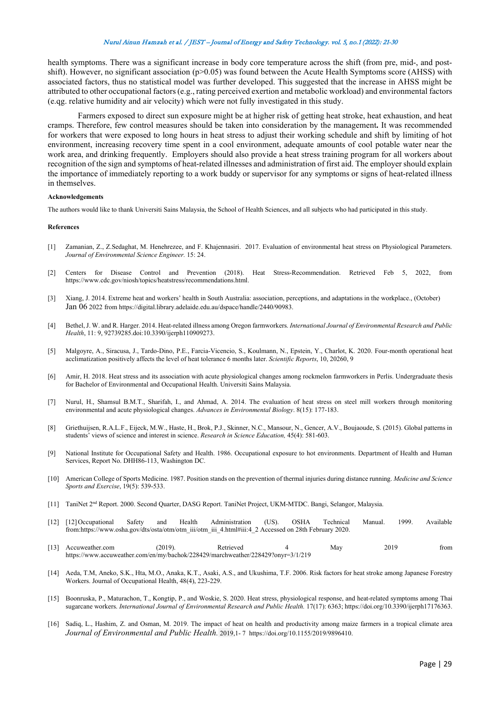health symptoms. There was a significant increase in body core temperature across the shift (from pre, mid-, and postshift). However, no significant association (p>0.05) was found between the Acute Health Symptoms score (AHSS) with associated factors, thus no statistical model was further developed. This suggested that the increase in AHSS might be attributed to other occupational factors (e.g., rating perceived exertion and metabolic workload) and environmental factors (e.qg. relative humidity and air velocity) which were not fully investigated in this study.

Farmers exposed to direct sun exposure might be at higher risk of getting heat stroke, heat exhaustion, and heat cramps. Therefore, few control measures should be taken into consideration by the management**.** It was recommended for workers that were exposed to long hours in heat stress to adjust their working schedule and shift by limiting of hot environment, increasing recovery time spent in a cool environment, adequate amounts of cool potable water near the work area, and drinking frequently. Employers should also provide a heat stress training program for all workers about recognition of the sign and symptoms of heat-related illnesses and administration of first aid. The employer should explain the importance of immediately reporting to a work buddy or supervisor for any symptoms or signs of heat-related illness in themselves.

#### **Acknowledgements**

The authors would like to thank Universiti Sains Malaysia, the School of Health Sciences, and all subjects who had participated in this study.

#### **References**

- [1] Zamanian, Z., Z.Sedaghat, M. Henehrezee, and F. Khajennasiri. 2017. Evaluation of environmental heat stress on Physiological Parameters. *Journal of Environmental Science Engineer.* 15: 24.
- [2] Centers for Disease Control and Prevention (2018). Heat Stress-Recommendation. Retrieved Feb 5, 2022, from https://www.cdc.gov/niosh/topics/heatstress/recommendations.html.
- [3] Xiang, J. 2014. Extreme heat and workers' health in South Australia: association, perceptions, and adaptations in the workplace., (October) Jan 06 2022 from https://digital.library.adelaide.edu.au/dspace/handle/2440/90983.
- [4] Bethel, J. W. and R. Harger. 2014. Heat-related illness among Oregon farmworkers. *International Journal of Environmental Research and Public Health*, 11: 9, 92739285.doi:10.3390/ijerph110909273.
- [5] Malgoyre, A., Siracusa, J., Tardo-Dino, P.E., Farcia-Vicencio, S., Koulmann, N., Epstein, Y., Charlot, K. 2020. Four-month operational heat acclimatization positively affects the level of heat tolerance 6 months later. *Scientific Reports*, 10, 20260, 9
- [6] Amir, H. 2018. Heat stress and its association with acute physiological changes among rockmelon farmworkers in Perlis. Undergraduate thesis for Bachelor of Environmental and Occupational Health. Universiti Sains Malaysia.
- [7] Nurul, H., Shamsul B.M.T., Sharifah, I., and Ahmad, A. 2014. The evaluation of heat stress on steel mill workers through monitoring environmental and acute physiological changes. *Advances in Environmental Biology*. 8(15): 177-183.
- [8] Griethuijsen, R.A.L.F., Eijeck, M.W., Haste, H., Brok, P.J., Skinner, N.C., Mansour, N., Gencer, A.V., Boujaoude, S. (2015). Global patterns in students' views of science and interest in science. *Research in Science Education,* 45(4): 581-603.
- [9] National Institute for Occupational Safety and Health. 1986. Occupational exposure to hot environments. Department of Health and Human Services, Report No. DHH86-113, Washington DC.
- [10] American College of Sports Medicine. 1987. Position stands on the prevention of thermal injuries during distance running. *Medicine and Science Sports and Exercise*, 19(5): 539-533.
- [11] TaniNet 2nd Report. 2000. Second Quarter, DASG Report. TaniNet Project, UKM-MTDC. Bangi, Selangor, Malaysia.
- [12] [12] Occupational Safety and Health Administration (US). OSHA Technical Manual. 1999. Available from:https://www.osha.gov/dts/osta/otm/otm\_iii/otm\_iii\_4.html#iii:4\_2 Accessed on 28th February 2020.
- [13] Accuweather.com (2019). Retrieved 4 May 2019 from https://www.accuweather.com/en/my/bachok/228429/marchweather/228429?onyr=3/1/219
- [14] Aeda, T.M, Aneko, S.K., Hta, M.O., Anaka, K.T., Asaki, A.S., and Ukushima, T.F. 2006. Risk factors for heat stroke among Japanese Forestry Workers. Journal of Occupational Health, 48(4), 223-229.
- [15] Boonruska, P., Maturachon, T., Kongtip, P., and Woskie, S. 2020. Heat stress, physiological response, and heat-related symptoms among Thai sugarcane workers. *International Journal of Environmental Research and Public Health.* 17(17): 6363; https://doi.org/10.3390/ijerph17176363.
- [16] Sadiq, L., Hashim, Z. and Osman, M. 2019. The impact of heat on health and productivity among maize farmers in a tropical climate area *Journal of Environmental and Public Health.* 2019,1- 7 https://doi.org/10.1155/2019/9896410.